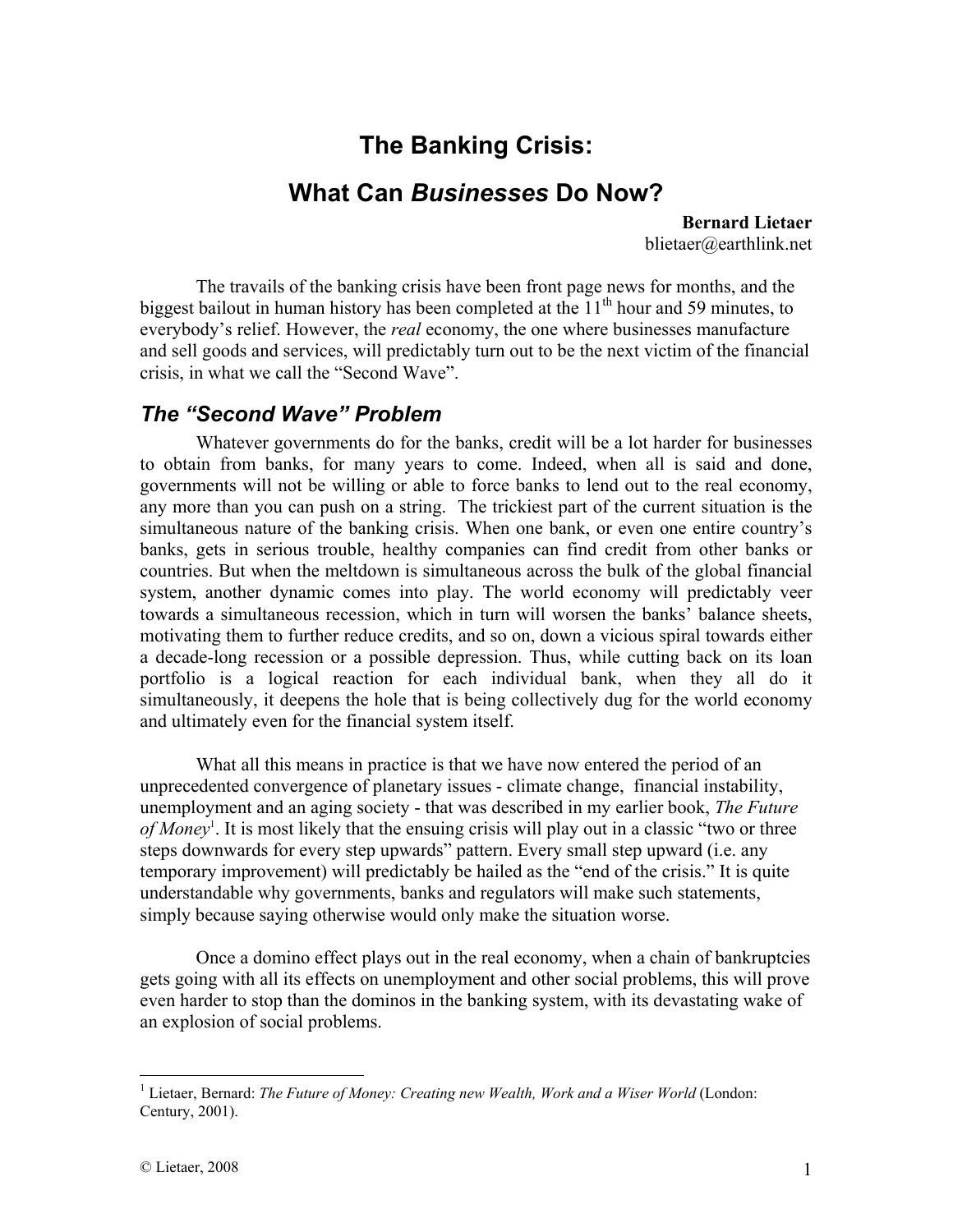# **The Banking Crisis: What Can** *Businesses* **Do Now?**

**Bernard Lietaer**  blietaer@earthlink.net

The travails of the banking crisis have been front page news for months, and the biggest bailout in human history has been completed at the  $11<sup>th</sup>$  hour and 59 minutes, to everybody's relief. However, the *real* economy, the one where businesses manufacture and sell goods and services, will predictably turn out to be the next victim of the financial crisis, in what we call the "Second Wave".

### *The "Second Wave" Problem*

Whatever governments do for the banks, credit will be a lot harder for businesses to obtain from banks, for many years to come. Indeed, when all is said and done, governments will not be willing or able to force banks to lend out to the real economy, any more than you can push on a string. The trickiest part of the current situation is the simultaneous nature of the banking crisis. When one bank, or even one entire country's banks, gets in serious trouble, healthy companies can find credit from other banks or countries. But when the meltdown is simultaneous across the bulk of the global financial system, another dynamic comes into play. The world economy will predictably veer towards a simultaneous recession, which in turn will worsen the banks' balance sheets, motivating them to further reduce credits, and so on, down a vicious spiral towards either a decade-long recession or a possible depression. Thus, while cutting back on its loan portfolio is a logical reaction for each individual bank, when they all do it simultaneously, it deepens the hole that is being collectively dug for the world economy and ultimately even for the financial system itself.

What all this means in practice is that we have now entered the period of an unprecedented convergence of planetary issues - climate change, financial instability, unemployment and an aging society - that was described in my earlier book, *The Future of Money*<sup>1</sup> . It is most likely that the ensuing crisis will play out in a classic "two or three steps downwards for every step upwards" pattern. Every small step upward (i.e. any temporary improvement) will predictably be hailed as the "end of the crisis." It is quite understandable why governments, banks and regulators will make such statements, simply because saying otherwise would only make the situation worse.

Once a domino effect plays out in the real economy, when a chain of bankruptcies gets going with all its effects on unemployment and other social problems, this will prove even harder to stop than the dominos in the banking system, with its devastating wake of an explosion of social problems.

<sup>1</sup> <sup>1</sup> Lietaer, Bernard: *The Future of Money: Creating new Wealth, Work and a Wiser World* (London: Century, 2001).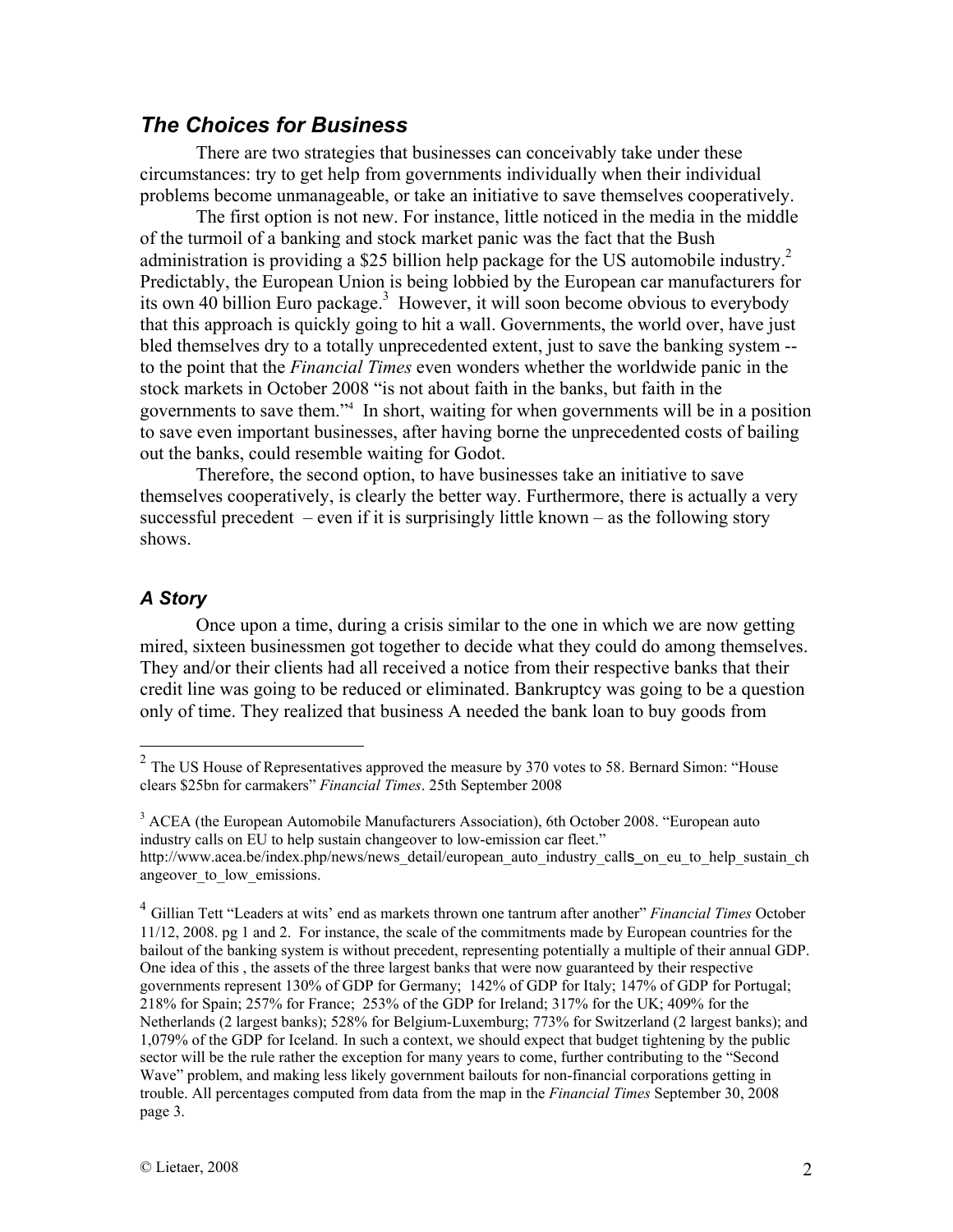#### *The Choices for Business*

There are two strategies that businesses can conceivably take under these circumstances: try to get help from governments individually when their individual problems become unmanageable, or take an initiative to save themselves cooperatively.

The first option is not new. For instance, little noticed in the media in the middle of the turmoil of a banking and stock market panic was the fact that the Bush administration is providing a \$25 billion help package for the US automobile industry.<sup>2</sup> Predictably, the European Union is being lobbied by the European car manufacturers for its own 40 billion Euro package.<sup>3</sup> However, it will soon become obvious to everybody that this approach is quickly going to hit a wall. Governments, the world over, have just bled themselves dry to a totally unprecedented extent, just to save the banking system - to the point that the *Financial Times* even wonders whether the worldwide panic in the stock markets in October 2008 "is not about faith in the banks, but faith in the governments to save them."4 In short, waiting for when governments will be in a position to save even important businesses, after having borne the unprecedented costs of bailing out the banks, could resemble waiting for Godot.

 Therefore, the second option, to have businesses take an initiative to save themselves cooperatively, is clearly the better way. Furthermore, there is actually a very successful precedent – even if it is surprisingly little known – as the following story shows.

#### *A Story*

 $\overline{a}$ 

Once upon a time, during a crisis similar to the one in which we are now getting mired, sixteen businessmen got together to decide what they could do among themselves. They and/or their clients had all received a notice from their respective banks that their credit line was going to be reduced or eliminated. Bankruptcy was going to be a question only of time. They realized that business A needed the bank loan to buy goods from

<sup>3</sup> ACEA (the European Automobile Manufacturers Association), 6th October 2008. "European auto industry calls on EU to help sustain changeover to low-emission car fleet." http://www.acea.be/index.php/news/news/news\_detail/european\_auto\_industry\_calls\_on\_eu\_to\_help\_sustain\_ch angeover to low emissions.

 $2^2$  The US House of Representatives approved the measure by 370 votes to 58. Bernard Simon: "House clears \$25bn for carmakers" *Financial Times*. 25th September 2008

<sup>4</sup> Gillian Tett "Leaders at wits' end as markets thrown one tantrum after another" *Financial Times* October 11/12, 2008. pg 1 and 2. For instance, the scale of the commitments made by European countries for the bailout of the banking system is without precedent, representing potentially a multiple of their annual GDP. One idea of this , the assets of the three largest banks that were now guaranteed by their respective governments represent 130% of GDP for Germany; 142% of GDP for Italy; 147% of GDP for Portugal; 218% for Spain; 257% for France; 253% of the GDP for Ireland; 317% for the UK; 409% for the Netherlands (2 largest banks); 528% for Belgium-Luxemburg; 773% for Switzerland (2 largest banks); and 1,079% of the GDP for Iceland. In such a context, we should expect that budget tightening by the public sector will be the rule rather the exception for many years to come, further contributing to the "Second Wave" problem, and making less likely government bailouts for non-financial corporations getting in trouble. All percentages computed from data from the map in the *Financial Times* September 30, 2008 page 3.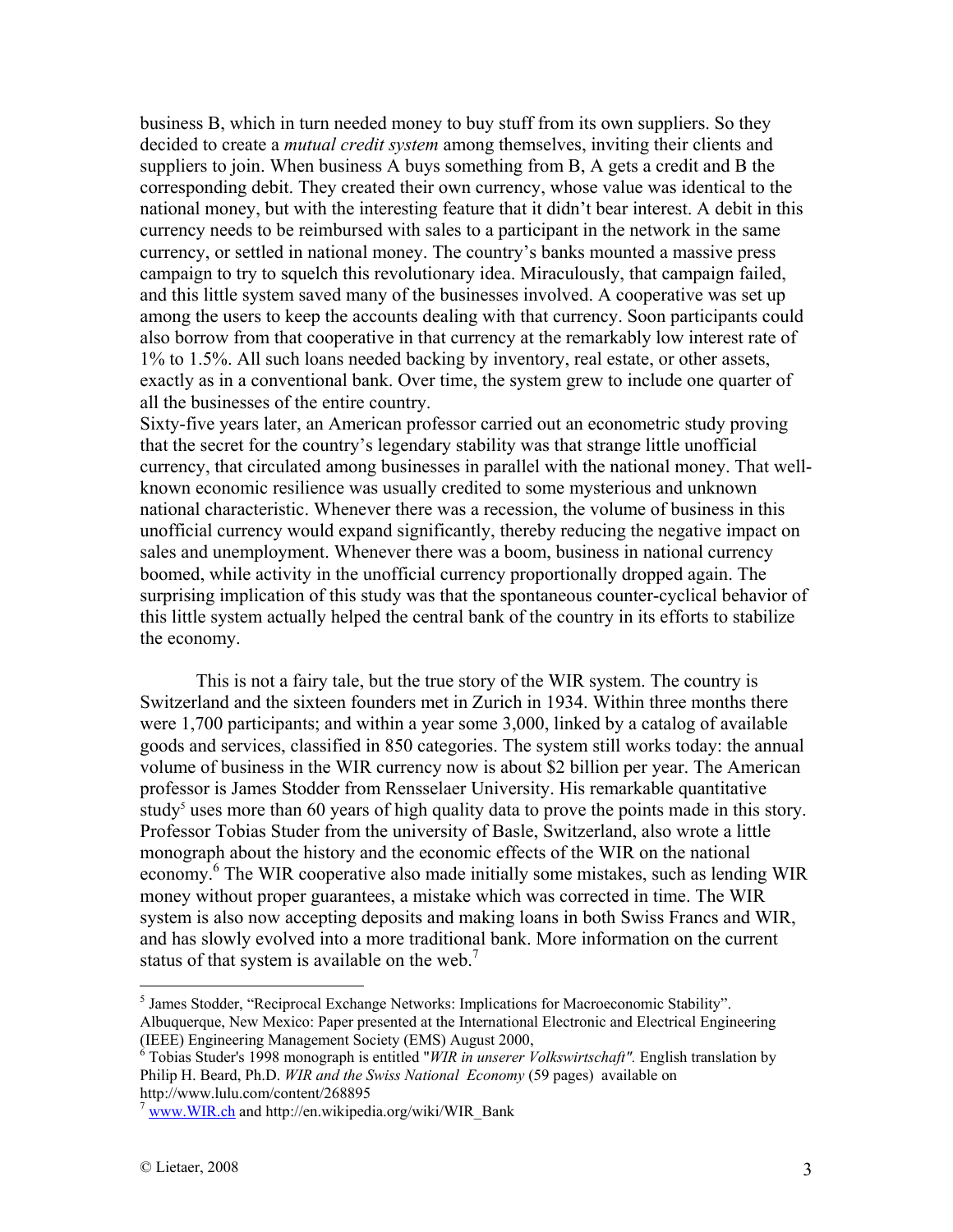business B, which in turn needed money to buy stuff from its own suppliers. So they decided to create a *mutual credit system* among themselves, inviting their clients and suppliers to join. When business A buys something from B, A gets a credit and B the corresponding debit. They created their own currency, whose value was identical to the national money, but with the interesting feature that it didn't bear interest. A debit in this currency needs to be reimbursed with sales to a participant in the network in the same currency, or settled in national money. The country's banks mounted a massive press campaign to try to squelch this revolutionary idea. Miraculously, that campaign failed, and this little system saved many of the businesses involved. A cooperative was set up among the users to keep the accounts dealing with that currency. Soon participants could also borrow from that cooperative in that currency at the remarkably low interest rate of 1% to 1.5%. All such loans needed backing by inventory, real estate, or other assets, exactly as in a conventional bank. Over time, the system grew to include one quarter of all the businesses of the entire country.

Sixty-five years later, an American professor carried out an econometric study proving that the secret for the country's legendary stability was that strange little unofficial currency, that circulated among businesses in parallel with the national money. That wellknown economic resilience was usually credited to some mysterious and unknown national characteristic. Whenever there was a recession, the volume of business in this unofficial currency would expand significantly, thereby reducing the negative impact on sales and unemployment. Whenever there was a boom, business in national currency boomed, while activity in the unofficial currency proportionally dropped again. The surprising implication of this study was that the spontaneous counter-cyclical behavior of this little system actually helped the central bank of the country in its efforts to stabilize the economy.

This is not a fairy tale, but the true story of the WIR system. The country is Switzerland and the sixteen founders met in Zurich in 1934. Within three months there were 1,700 participants; and within a year some 3,000, linked by a catalog of available goods and services, classified in 850 categories. The system still works today: the annual volume of business in the WIR currency now is about \$2 billion per year. The American professor is James Stodder from Rensselaer University. His remarkable quantitative study<sup>5</sup> uses more than 60 years of high quality data to prove the points made in this story. Professor Tobias Studer from the university of Basle, Switzerland, also wrote a little monograph about the history and the economic effects of the WIR on the national economy.<sup>6</sup> The WIR cooperative also made initially some mistakes, such as lending WIR money without proper guarantees, a mistake which was corrected in time. The WIR system is also now accepting deposits and making loans in both Swiss Francs and WIR, and has slowly evolved into a more traditional bank. More information on the current status of that system is available on the web.<sup>7</sup>

<u>.</u>

<sup>&</sup>lt;sup>5</sup> James Stodder, "Reciprocal Exchange Networks: Implications for Macroeconomic Stability". Albuquerque, New Mexico: Paper presented at the International Electronic and Electrical Engineering (IEEE) Engineering Management Society (EMS) August 2000,

<sup>6</sup> Tobias Studer's 1998 monograph is entitled "*WIR in unserer Volkswirtschaft".* English translation by Philip H. Beard, Ph.D. *WIR and the Swiss National Economy* (59 pages) available on http://www.lulu.com/content/268895

www.WIR.ch and http://en.wikipedia.org/wiki/WIR\_Bank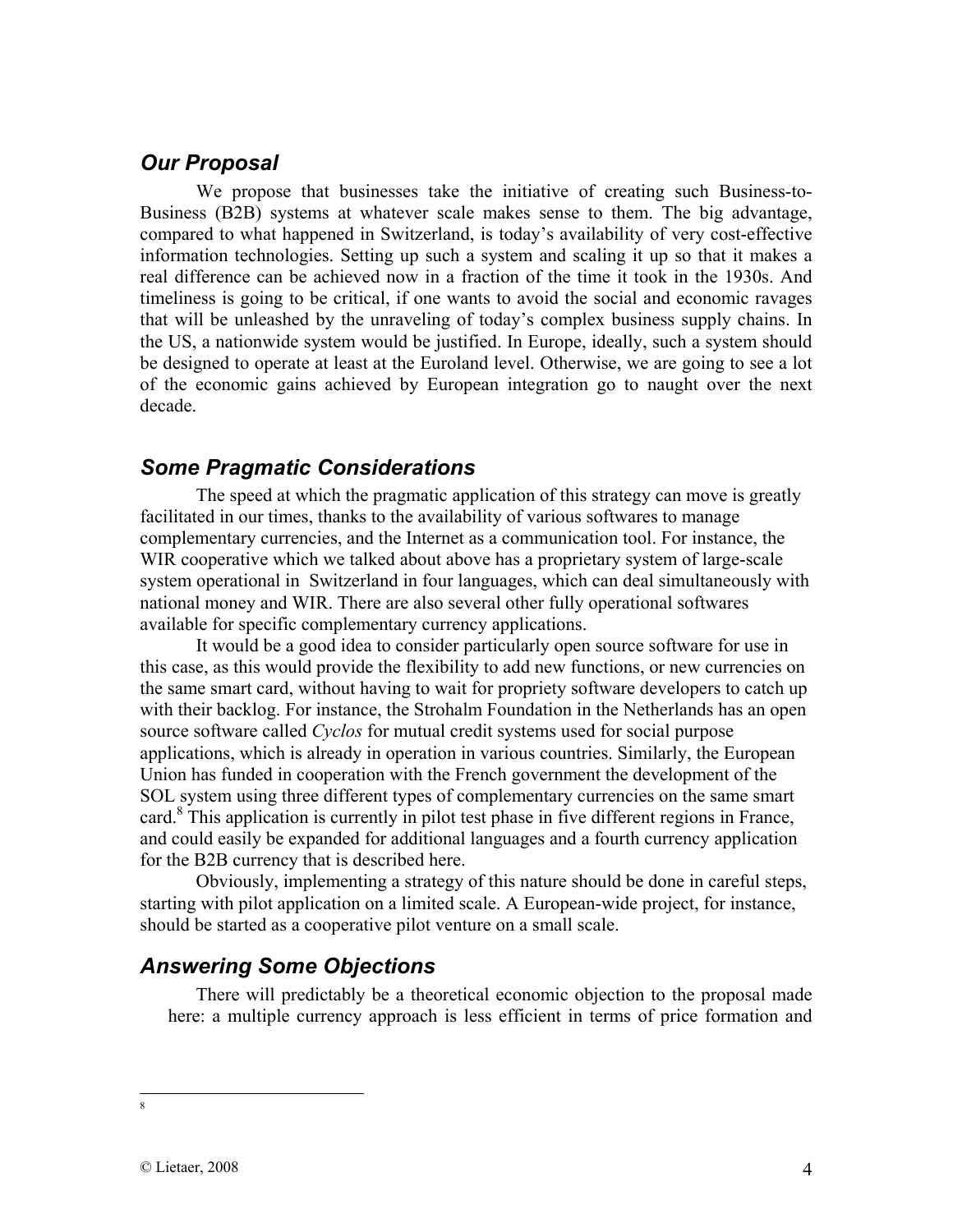## *Our Proposal*

We propose that businesses take the initiative of creating such Business-to-Business (B2B) systems at whatever scale makes sense to them. The big advantage, compared to what happened in Switzerland, is today's availability of very cost-effective information technologies. Setting up such a system and scaling it up so that it makes a real difference can be achieved now in a fraction of the time it took in the 1930s. And timeliness is going to be critical, if one wants to avoid the social and economic ravages that will be unleashed by the unraveling of today's complex business supply chains. In the US, a nationwide system would be justified. In Europe, ideally, such a system should be designed to operate at least at the Euroland level. Otherwise, we are going to see a lot of the economic gains achieved by European integration go to naught over the next decade.

#### *Some Pragmatic Considerations*

 The speed at which the pragmatic application of this strategy can move is greatly facilitated in our times, thanks to the availability of various softwares to manage complementary currencies, and the Internet as a communication tool. For instance, the WIR cooperative which we talked about above has a proprietary system of large-scale system operational in Switzerland in four languages, which can deal simultaneously with national money and WIR. There are also several other fully operational softwares available for specific complementary currency applications.

It would be a good idea to consider particularly open source software for use in this case, as this would provide the flexibility to add new functions, or new currencies on the same smart card, without having to wait for propriety software developers to catch up with their backlog. For instance, the Strohalm Foundation in the Netherlands has an open source software called *Cyclos* for mutual credit systems used for social purpose applications, which is already in operation in various countries. Similarly, the European Union has funded in cooperation with the French government the development of the SOL system using three different types of complementary currencies on the same smart card.<sup>8</sup> This application is currently in pilot test phase in five different regions in France, and could easily be expanded for additional languages and a fourth currency application for the B2B currency that is described here.

Obviously, implementing a strategy of this nature should be done in careful steps, starting with pilot application on a limited scale. A European-wide project, for instance, should be started as a cooperative pilot venture on a small scale.

#### *Answering Some Objections*

There will predictably be a theoretical economic objection to the proposal made here: a multiple currency approach is less efficient in terms of price formation and

 $\overline{a}$ 8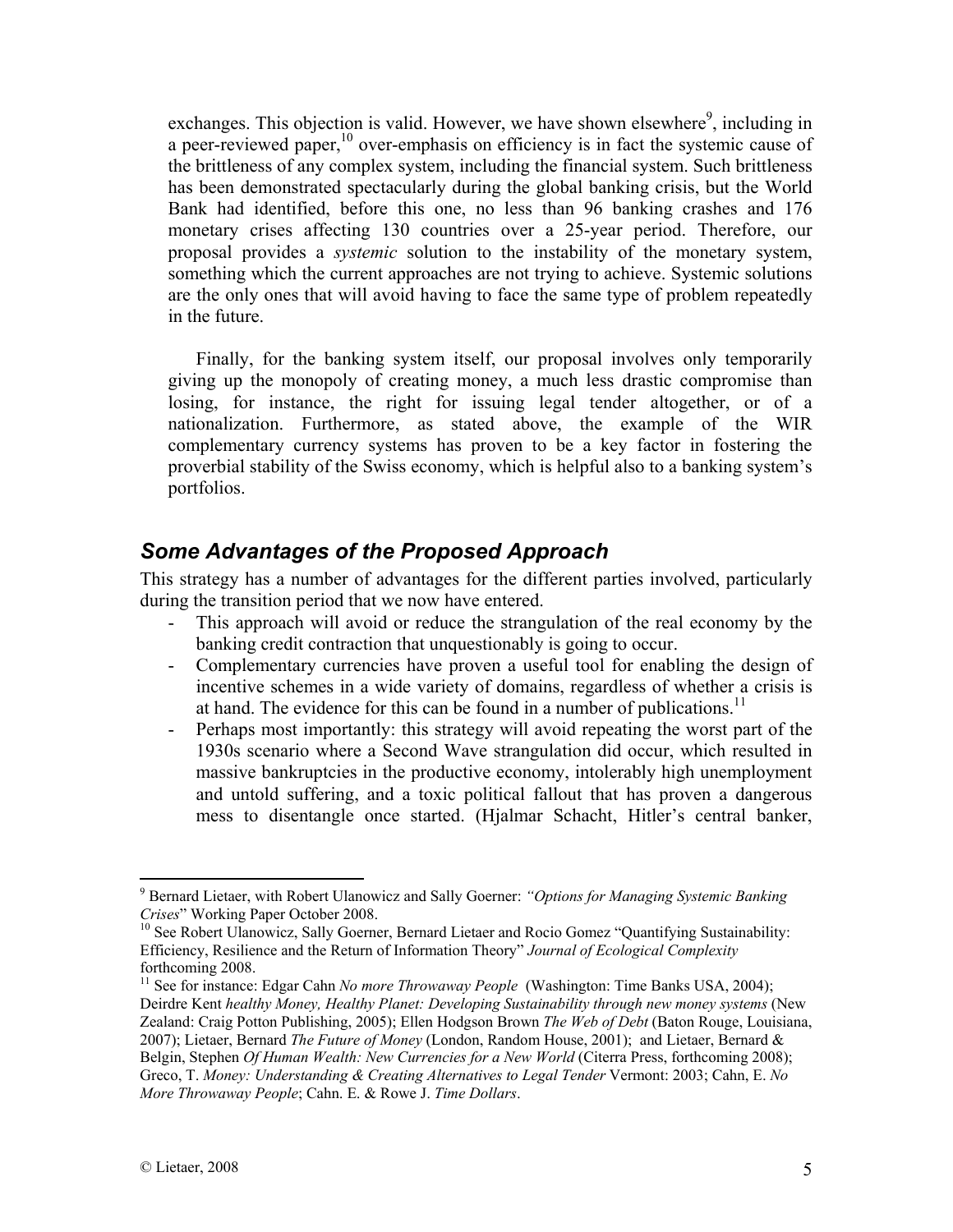exchanges. This objection is valid. However, we have shown elsewhere $\degree$ , including in a peer-reviewed paper, $^{10}$  over-emphasis on efficiency is in fact the systemic cause of the brittleness of any complex system, including the financial system. Such brittleness has been demonstrated spectacularly during the global banking crisis, but the World Bank had identified, before this one, no less than 96 banking crashes and 176 monetary crises affecting 130 countries over a 25-year period. Therefore, our proposal provides a *systemic* solution to the instability of the monetary system, something which the current approaches are not trying to achieve. Systemic solutions are the only ones that will avoid having to face the same type of problem repeatedly in the future.

Finally, for the banking system itself, our proposal involves only temporarily giving up the monopoly of creating money, a much less drastic compromise than losing, for instance, the right for issuing legal tender altogether, or of a nationalization. Furthermore, as stated above, the example of the WIR complementary currency systems has proven to be a key factor in fostering the proverbial stability of the Swiss economy, which is helpful also to a banking system's portfolios.

## *Some Advantages of the Proposed Approach*

This strategy has a number of advantages for the different parties involved, particularly during the transition period that we now have entered.

- This approach will avoid or reduce the strangulation of the real economy by the banking credit contraction that unquestionably is going to occur.
- Complementary currencies have proven a useful tool for enabling the design of incentive schemes in a wide variety of domains, regardless of whether a crisis is at hand. The evidence for this can be found in a number of publications.<sup>11</sup>
- Perhaps most importantly: this strategy will avoid repeating the worst part of the 1930s scenario where a Second Wave strangulation did occur, which resulted in massive bankruptcies in the productive economy, intolerably high unemployment and untold suffering, and a toxic political fallout that has proven a dangerous mess to disentangle once started. (Hjalmar Schacht, Hitler's central banker,

 $\overline{a}$ 

<sup>9</sup> Bernard Lietaer, with Robert Ulanowicz and Sally Goerner: *"Options for Managing Systemic Banking Crises*" Working Paper October 2008.<br><sup>10</sup> See Robert Ulanowicz, Sally Goerner, Bernard Lietaer and Rocio Gomez "Quantifying Sustainability:

Efficiency, Resilience and the Return of Information Theory" *Journal of Ecological Complexity*  forthcoming 2008.

<sup>&</sup>lt;sup>11</sup> See for instance: Edgar Cahn *No more Throwaway People* (Washington: Time Banks USA, 2004); Deirdre Kent *healthy Money, Healthy Planet: Developing Sustainability through new money systems* (New Zealand: Craig Potton Publishing, 2005); Ellen Hodgson Brown *The Web of Debt* (Baton Rouge, Louisiana, 2007); Lietaer, Bernard *The Future of Money* (London, Random House, 2001); and Lietaer, Bernard & Belgin, Stephen *Of Human Wealth: New Currencies for a New World* (Citerra Press, forthcoming 2008); Greco, T. *Money: Understanding & Creating Alternatives to Legal Tender* Vermont: 2003; Cahn, E. *No More Throwaway People*; Cahn. E. & Rowe J. *Time Dollars*.